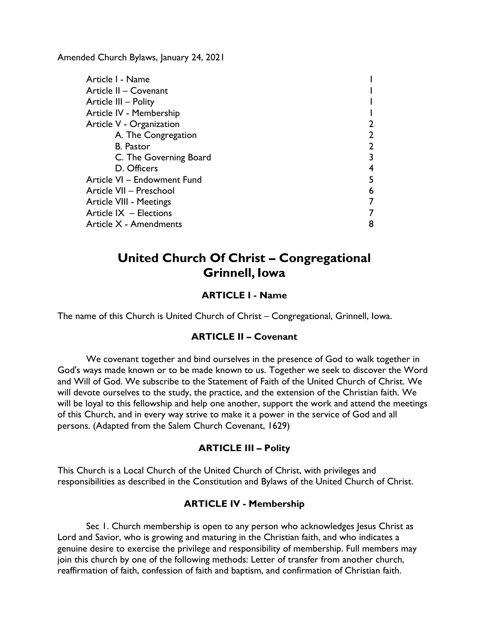Amended Church Bylaws, January 24, 2021

| Article I - Name            |   |
|-----------------------------|---|
| Article II - Covenant       |   |
| Article III - Polity        |   |
| Article IV - Membership     |   |
| Article V - Organization    | 2 |
| A. The Congregation         | 2 |
| <b>B.</b> Pastor            | 2 |
| C. The Governing Board      | 3 |
| D. Officers                 |   |
| Article VI - Endowment Fund | 5 |
| Article VII - Preschool     | 6 |
| Article VIII - Meetings     | 7 |
| Article $IX$ – Elections    |   |
| Article X - Amendments      | 8 |

# **United Church Of Christ – Congregational Grinnell, Iowa**

# **ARTICLE I - Name**

<span id="page-0-1"></span><span id="page-0-0"></span>The name of this Church is United Church of Christ – Congregational, Grinnell, Iowa.

### **ARTICLE II – Covenant**

We covenant together and bind ourselves in the presence of God to walk together in God's ways made known or to be made known to us. Together we seek to discover the Word and Will of God. We subscribe to the Statement of Faith of the United Church of Christ. We will devote ourselves to the study, the practice, and the extension of the Christian faith. We will be loyal to this fellowship and help one another, support the work and attend the meetings of this Church, and in every way strive to make it a power in the service of God and all persons. (Adapted from the Salem Church Covenant, 1629)

### **ARTICLE III – Polity**

<span id="page-0-2"></span>This Church is a Local Church of the United Church of Christ, with privileges and responsibilities as described in the Constitution and Bylaws of the United Church of Christ.

### **ARTICLE IV - Membership**

<span id="page-0-3"></span>Sec 1. Church membership is open to any person who acknowledges Jesus Christ as Lord and Savior, who is growing and maturing in the Christian faith, and who indicates a genuine desire to exercise the privilege and responsibility of membership. Full members may join this church by one of the following methods: Letter of transfer from another church, reaffirmation of faith, confession of faith and baptism, and confirmation of Christian faith.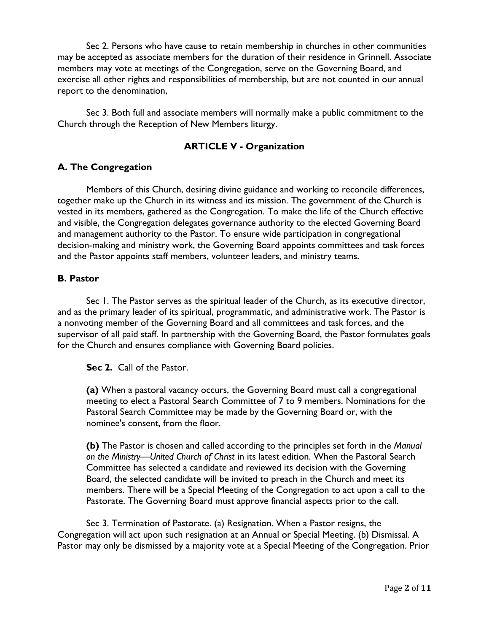Sec 2. Persons who have cause to retain membership in churches in other communities may be accepted as associate members for the duration of their residence in Grinnell. Associate members may vote at meetings of the Congregation, serve on the Governing Board, and exercise all other rights and responsibilities of membership, but are not counted in our annual report to the denomination,

Sec 3. Both full and associate members will normally make a public commitment to the Church through the Reception of New Members liturgy.

### **ARTICLE V - Organization**

### <span id="page-1-1"></span><span id="page-1-0"></span>**A. The Congregation**

Members of this Church, desiring divine guidance and working to reconcile differences, together make up the Church in its witness and its mission. The government of the Church is vested in its members, gathered as the Congregation. To make the life of the Church effective and visible, the Congregation delegates governance authority to the elected Governing Board and management authority to the Pastor. To ensure wide participation in congregational decision-making and ministry work, the Governing Board appoints committees and task forces and the Pastor appoints staff members, volunteer leaders, and ministry teams.

### <span id="page-1-2"></span>**B. Pastor**

Sec 1. The Pastor serves as the spiritual leader of the Church, as its executive director, and as the primary leader of its spiritual, programmatic, and administrative work. The Pastor is a nonvoting member of the Governing Board and all committees and task forces, and the supervisor of all paid staff. In partnership with the Governing Board, the Pastor formulates goals for the Church and ensures compliance with Governing Board policies.

### **Sec 2.** Call of the Pastor.

**(a)** When a pastoral vacancy occurs, the Governing Board must call a congregational meeting to elect a Pastoral Search Committee of 7 to 9 members. Nominations for the Pastoral Search Committee may be made by the Governing Board or, with the nominee's consent, from the floor.

**(b)** The Pastor is chosen and called according to the principles set forth in the *Manual on the Ministry—United Church of Christ* in its latest edition. When the Pastoral Search Committee has selected a candidate and reviewed its decision with the Governing Board, the selected candidate will be invited to preach in the Church and meet its members. There will be a Special Meeting of the Congregation to act upon a call to the Pastorate. The Governing Board must approve financial aspects prior to the call.

Sec 3. Termination of Pastorate. (a) Resignation. When a Pastor resigns, the Congregation will act upon such resignation at an Annual or Special Meeting. (b) Dismissal. A Pastor may only be dismissed by a majority vote at a Special Meeting of the Congregation. Prior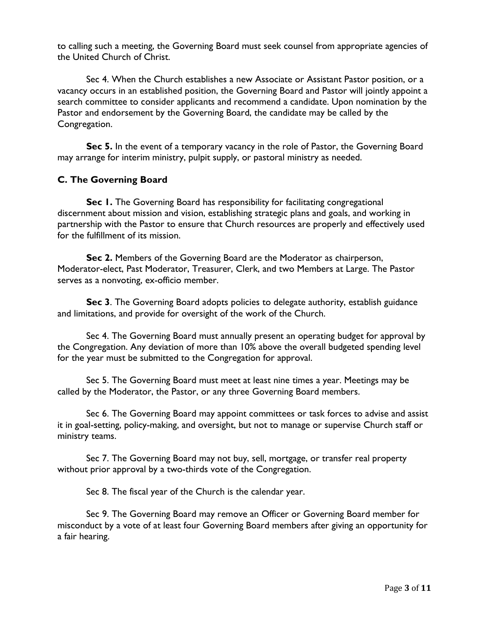to calling such a meeting, the Governing Board must seek counsel from appropriate agencies of the United Church of Christ.

Sec 4. When the Church establishes a new Associate or Assistant Pastor position, or a vacancy occurs in an established position, the Governing Board and Pastor will jointly appoint a search committee to consider applicants and recommend a candidate. Upon nomination by the Pastor and endorsement by the Governing Board, the candidate may be called by the Congregation.

Sec 5. In the event of a temporary vacancy in the role of Pastor, the Governing Board may arrange for interim ministry, pulpit supply, or pastoral ministry as needed.

#### <span id="page-2-0"></span>**C. The Governing Board**

**Sec 1.** The Governing Board has responsibility for facilitating congregational discernment about mission and vision, establishing strategic plans and goals, and working in partnership with the Pastor to ensure that Church resources are properly and effectively used for the fulfillment of its mission.

**Sec 2.** Members of the Governing Board are the Moderator as chairperson, Moderator-elect, Past Moderator, Treasurer, Clerk, and two Members at Large. The Pastor serves as a nonvoting, ex-officio member.

**Sec 3**. The Governing Board adopts policies to delegate authority, establish guidance and limitations, and provide for oversight of the work of the Church.

Sec 4. The Governing Board must annually present an operating budget for approval by the Congregation. Any deviation of more than 10% above the overall budgeted spending level for the year must be submitted to the Congregation for approval.

Sec 5. The Governing Board must meet at least nine times a year. Meetings may be called by the Moderator, the Pastor, or any three Governing Board members.

Sec 6. The Governing Board may appoint committees or task forces to advise and assist it in goal-setting, policy-making, and oversight, but not to manage or supervise Church staff or ministry teams.

Sec 7. The Governing Board may not buy, sell, mortgage, or transfer real property without prior approval by a two-thirds vote of the Congregation.

Sec 8. The fiscal year of the Church is the calendar year.

Sec 9. The Governing Board may remove an Officer or Governing Board member for misconduct by a vote of at least four Governing Board members after giving an opportunity for a fair hearing.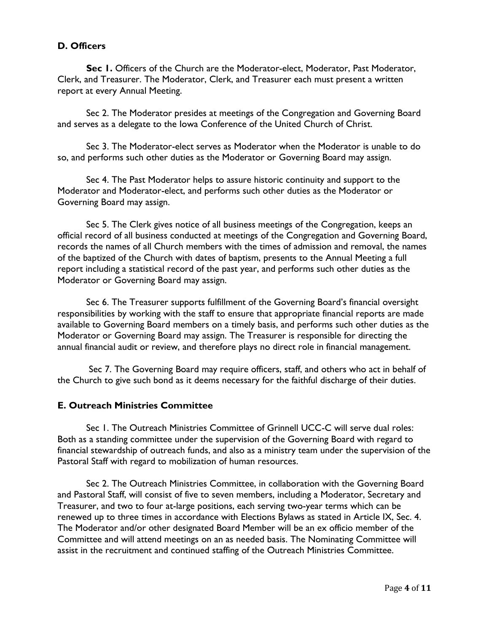### <span id="page-3-0"></span>**D. Officers**

**Sec 1.** Officers of the Church are the Moderator-elect, Moderator, Past Moderator, Clerk, and Treasurer. The Moderator, Clerk, and Treasurer each must present a written report at every Annual Meeting.

Sec 2. The Moderator presides at meetings of the Congregation and Governing Board and serves as a delegate to the Iowa Conference of the United Church of Christ.

Sec 3. The Moderator-elect serves as Moderator when the Moderator is unable to do so, and performs such other duties as the Moderator or Governing Board may assign.

Sec 4. The Past Moderator helps to assure historic continuity and support to the Moderator and Moderator-elect, and performs such other duties as the Moderator or Governing Board may assign.

Sec 5. The Clerk gives notice of all business meetings of the Congregation, keeps an official record of all business conducted at meetings of the Congregation and Governing Board, records the names of all Church members with the times of admission and removal, the names of the baptized of the Church with dates of baptism, presents to the Annual Meeting a full report including a statistical record of the past year, and performs such other duties as the Moderator or Governing Board may assign.

Sec 6. The Treasurer supports fulfillment of the Governing Board's financial oversight responsibilities by working with the staff to ensure that appropriate financial reports are made available to Governing Board members on a timely basis, and performs such other duties as the Moderator or Governing Board may assign. The Treasurer is responsible for directing the annual financial audit or review, and therefore plays no direct role in financial management.

Sec 7. The Governing Board may require officers, staff, and others who act in behalf of the Church to give such bond as it deems necessary for the faithful discharge of their duties.

#### **E. Outreach Ministries Committee**

Sec 1. The Outreach Ministries Committee of Grinnell UCC-C will serve dual roles: Both as a standing committee under the supervision of the Governing Board with regard to financial stewardship of outreach funds, and also as a ministry team under the supervision of the Pastoral Staff with regard to mobilization of human resources.

Sec 2. The Outreach Ministries Committee, in collaboration with the Governing Board and Pastoral Staff, will consist of five to seven members, including a Moderator, Secretary and Treasurer, and two to four at-large positions, each serving two-year terms which can be renewed up to three times in accordance with Elections Bylaws as stated in Article IX, Sec. 4. The Moderator and/or other designated Board Member will be an ex officio member of the Committee and will attend meetings on an as needed basis. The Nominating Committee will assist in the recruitment and continued staffing of the Outreach Ministries Committee.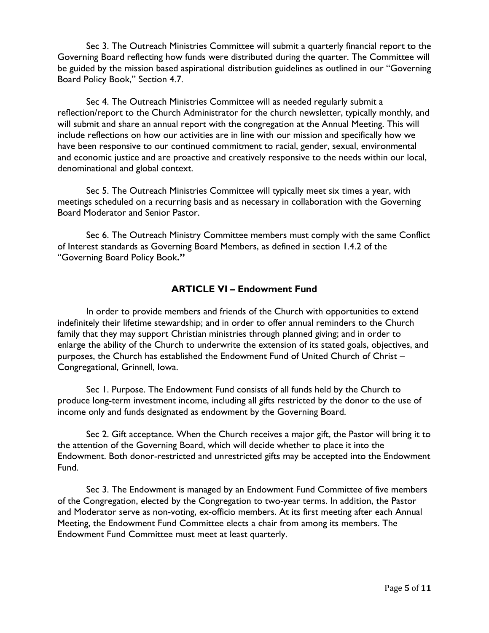Sec 3. The Outreach Ministries Committee will submit a quarterly financial report to the Governing Board reflecting how funds were distributed during the quarter. The Committee will be guided by the mission based aspirational distribution guidelines as outlined in our "Governing Board Policy Book," Section 4.7.

Sec 4. The Outreach Ministries Committee will as needed regularly submit a reflection/report to the Church Administrator for the church newsletter, typically monthly, and will submit and share an annual report with the congregation at the Annual Meeting. This will include reflections on how our activities are in line with our mission and specifically how we have been responsive to our continued commitment to racial, gender, sexual, environmental and economic justice and are proactive and creatively responsive to the needs within our local, denominational and global context.

Sec 5. The Outreach Ministries Committee will typically meet six times a year, with meetings scheduled on a recurring basis and as necessary in collaboration with the Governing Board Moderator and Senior Pastor.

Sec 6. The Outreach Ministry Committee members must comply with the same Conflict of Interest standards as Governing Board Members, as defined in section 1.4.2 of the "Governing Board Policy Book**."** 

### **ARTICLE VI – Endowment Fund**

In order to provide members and friends of the Church with opportunities to extend indefinitely their lifetime stewardship; and in order to offer annual reminders to the Church family that they may support Christian ministries through planned giving; and in order to enlarge the ability of the Church to underwrite the extension of its stated goals, objectives, and purposes, the Church has established the Endowment Fund of United Church of Christ – Congregational, Grinnell, Iowa.

Sec 1. Purpose. The Endowment Fund consists of all funds held by the Church to produce long-term investment income, including all gifts restricted by the donor to the use of income only and funds designated as endowment by the Governing Board.

Sec 2. Gift acceptance. When the Church receives a major gift, the Pastor will bring it to the attention of the Governing Board, which will decide whether to place it into the Endowment. Both donor-restricted and unrestricted gifts may be accepted into the Endowment Fund.

Sec 3. The Endowment is managed by an Endowment Fund Committee of five members of the Congregation, elected by the Congregation to two-year terms. In addition, the Pastor and Moderator serve as non-voting, ex-officio members. At its first meeting after each Annual Meeting, the Endowment Fund Committee elects a chair from among its members. The Endowment Fund Committee must meet at least quarterly.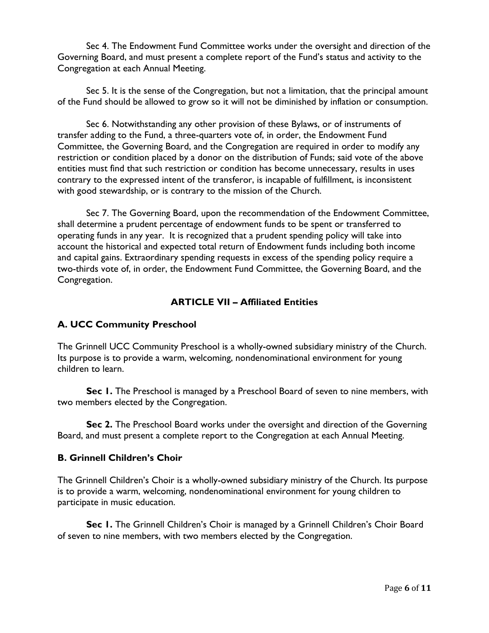Sec 4. The Endowment Fund Committee works under the oversight and direction of the Governing Board, and must present a complete report of the Fund's status and activity to the Congregation at each Annual Meeting.

Sec 5. It is the sense of the Congregation, but not a limitation, that the principal amount of the Fund should be allowed to grow so it will not be diminished by inflation or consumption.

Sec 6. Notwithstanding any other provision of these Bylaws, or of instruments of transfer adding to the Fund, a three-quarters vote of, in order, the Endowment Fund Committee, the Governing Board, and the Congregation are required in order to modify any restriction or condition placed by a donor on the distribution of Funds; said vote of the above entities must find that such restriction or condition has become unnecessary, results in uses contrary to the expressed intent of the transferor, is incapable of fulfillment, is inconsistent with good stewardship, or is contrary to the mission of the Church.

<span id="page-5-0"></span>Sec 7. The Governing Board, upon the recommendation of the Endowment Committee, shall determine a prudent percentage of endowment funds to be spent or transferred to operating funds in any year. It is recognized that a prudent spending policy will take into account the historical and expected total return of Endowment funds including both income and capital gains. Extraordinary spending requests in excess of the spending policy require a two-thirds vote of, in order, the Endowment Fund Committee, the Governing Board, and the Congregation.

### **ARTICLE VII – Affiliated Entities**

#### **A. UCC Community Preschool**

The Grinnell UCC Community Preschool is a wholly-owned subsidiary ministry of the Church. Its purpose is to provide a warm, welcoming, nondenominational environment for young children to learn.

**Sec 1.** The Preschool is managed by a Preschool Board of seven to nine members, with two members elected by the Congregation.

**Sec 2.** The Preschool Board works under the oversight and direction of the Governing Board, and must present a complete report to the Congregation at each Annual Meeting.

#### **B. Grinnell Children's Choir**

The Grinnell Children's Choir is a wholly-owned subsidiary ministry of the Church. Its purpose is to provide a warm, welcoming, nondenominational environment for young children to participate in music education.

Sec 1. The Grinnell Children's Choir is managed by a Grinnell Children's Choir Board of seven to nine members, with two members elected by the Congregation.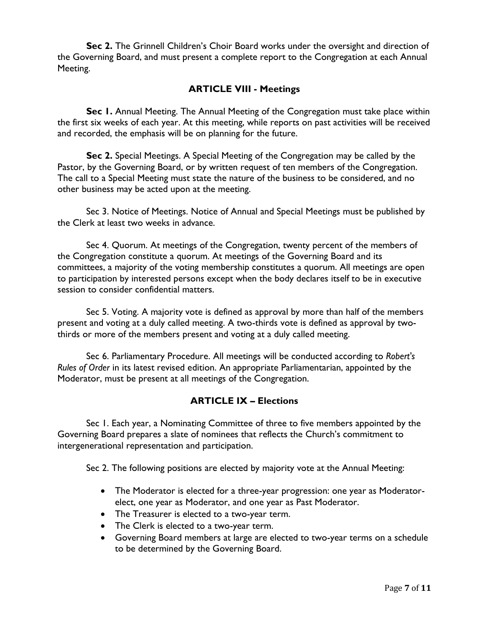<span id="page-6-0"></span>**Sec 2.** The Grinnell Children's Choir Board works under the oversight and direction of the Governing Board, and must present a complete report to the Congregation at each Annual Meeting.

#### **ARTICLE VIII - Meetings**

**Sec 1.** Annual Meeting. The Annual Meeting of the Congregation must take place within the first six weeks of each year. At this meeting, while reports on past activities will be received and recorded, the emphasis will be on planning for the future.

**Sec 2.** Special Meetings. A Special Meeting of the Congregation may be called by the Pastor, by the Governing Board, or by written request of ten members of the Congregation. The call to a Special Meeting must state the nature of the business to be considered, and no other business may be acted upon at the meeting.

Sec 3. Notice of Meetings. Notice of Annual and Special Meetings must be published by the Clerk at least two weeks in advance.

Sec 4. Quorum. At meetings of the Congregation, twenty percent of the members of the Congregation constitute a quorum. At meetings of the Governing Board and its committees, a majority of the voting membership constitutes a quorum. All meetings are open to participation by interested persons except when the body declares itself to be in executive session to consider confidential matters.

Sec 5. Voting. A majority vote is defined as approval by more than half of the members present and voting at a duly called meeting. A two-thirds vote is defined as approval by twothirds or more of the members present and voting at a duly called meeting.

Sec 6. Parliamentary Procedure. All meetings will be conducted according to *Robert's Rules of Order* in its latest revised edition. An appropriate Parliamentarian, appointed by the Moderator, must be present at all meetings of the Congregation.

#### **ARTICLE IX – Elections**

<span id="page-6-1"></span>Sec 1. Each year, a Nominating Committee of three to five members appointed by the Governing Board prepares a slate of nominees that reflects the Church's commitment to intergenerational representation and participation.

Sec 2. The following positions are elected by majority vote at the Annual Meeting:

- The Moderator is elected for a three-year progression: one year as Moderatorelect, one year as Moderator, and one year as Past Moderator.
- The Treasurer is elected to a two-year term.
- The Clerk is elected to a two-year term.
- Governing Board members at large are elected to two-year terms on a schedule to be determined by the Governing Board.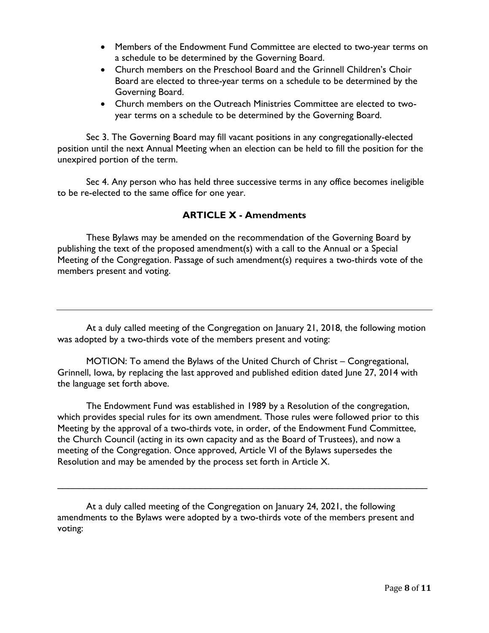- Members of the Endowment Fund Committee are elected to two-year terms on a schedule to be determined by the Governing Board.
- Church members on the Preschool Board and the Grinnell Children's Choir Board are elected to three-year terms on a schedule to be determined by the Governing Board.
- Church members on the Outreach Ministries Committee are elected to twoyear terms on a schedule to be determined by the Governing Board.

Sec 3. The Governing Board may fill vacant positions in any congregationally-elected position until the next Annual Meeting when an election can be held to fill the position for the unexpired portion of the term.

Sec 4. Any person who has held three successive terms in any office becomes ineligible to be re-elected to the same office for one year.

### **ARTICLE X - Amendments**

<span id="page-7-0"></span>These Bylaws may be amended on the recommendation of the Governing Board by publishing the text of the proposed amendment(s) with a call to the Annual or a Special Meeting of the Congregation. Passage of such amendment(s) requires a two-thirds vote of the members present and voting.

At a duly called meeting of the Congregation on January 21, 2018, the following motion was adopted by a two-thirds vote of the members present and voting:

MOTION: To amend the Bylaws of the United Church of Christ – Congregational, Grinnell, Iowa, by replacing the last approved and published edition dated June 27, 2014 with the language set forth above.

The Endowment Fund was established in 1989 by a Resolution of the congregation, which provides special rules for its own amendment. Those rules were followed prior to this Meeting by the approval of a two-thirds vote, in order, of the Endowment Fund Committee, the Church Council (acting in its own capacity and as the Board of Trustees), and now a meeting of the Congregation. Once approved, Article VI of the Bylaws supersedes the Resolution and may be amended by the process set forth in Article X.

\_\_\_\_\_\_\_\_\_\_\_\_\_\_\_\_\_\_\_\_\_\_\_\_\_\_\_\_\_\_\_\_\_\_\_\_\_\_\_\_\_\_\_\_\_\_\_\_\_\_\_\_\_\_\_\_\_\_\_\_\_\_\_\_\_\_\_\_\_\_

At a duly called meeting of the Congregation on January 24, 2021, the following amendments to the Bylaws were adopted by a two-thirds vote of the members present and voting: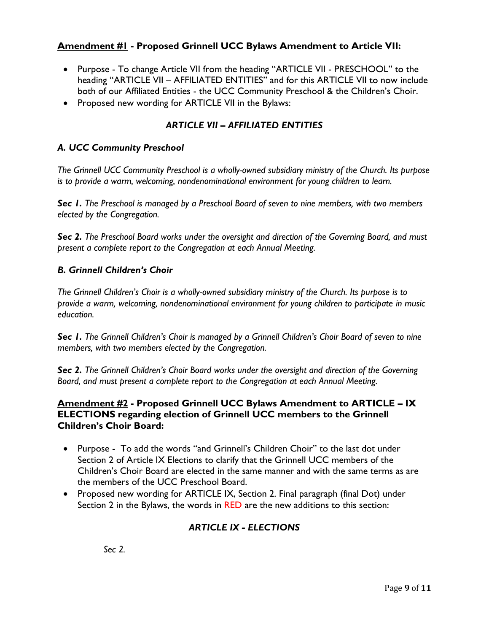### **Amendment #1 - Proposed Grinnell UCC Bylaws Amendment to Article VII:**

- Purpose To change Article VII from the heading "ARTICLE VII PRESCHOOL" to the heading "ARTICLE VII – AFFILIATED ENTITIES" and for this ARTICLE VII to now include both of our Affiliated Entities - the UCC Community Preschool & the Children's Choir.
- Proposed new wording for ARTICLE VII in the Bylaws:

### *ARTICLE VII – AFFILIATED ENTITIES*

#### *A. UCC Community Preschool*

*The Grinnell UCC Community Preschool is a wholly-owned subsidiary ministry of the Church. Its purpose is to provide a warm, welcoming, nondenominational environment for young children to learn.*

*Sec 1. The Preschool is managed by a Preschool Board of seven to nine members, with two members elected by the Congregation.*

*Sec 2. The Preschool Board works under the oversight and direction of the Governing Board, and must present a complete report to the Congregation at each Annual Meeting.*

#### *B. Grinnell Children's Choir*

*The Grinnell Children's Choir is a wholly-owned subsidiary ministry of the Church. Its purpose is to provide a warm, welcoming, nondenominational environment for young children to participate in music education.*

*Sec 1. The Grinnell Children's Choir is managed by a Grinnell Children's Choir Board of seven to nine members, with two members elected by the Congregation.*

*Sec 2. The Grinnell Children's Choir Board works under the oversight and direction of the Governing Board, and must present a complete report to the Congregation at each Annual Meeting.*

#### **Amendment #2 - Proposed Grinnell UCC Bylaws Amendment to ARTICLE – IX ELECTIONS regarding election of Grinnell UCC members to the Grinnell Children's Choir Board:**

- Purpose To add the words "and Grinnell's Children Choir" to the last dot under Section 2 of Article IX Elections to clarify that the Grinnell UCC members of the Children's Choir Board are elected in the same manner and with the same terms as are the members of the UCC Preschool Board.
- Proposed new wording for ARTICLE IX, Section 2. Final paragraph (final Dot) under Section 2 in the Bylaws, the words in RED are the new additions to this section:

# *ARTICLE IX - ELECTIONS*

*Sec 2.*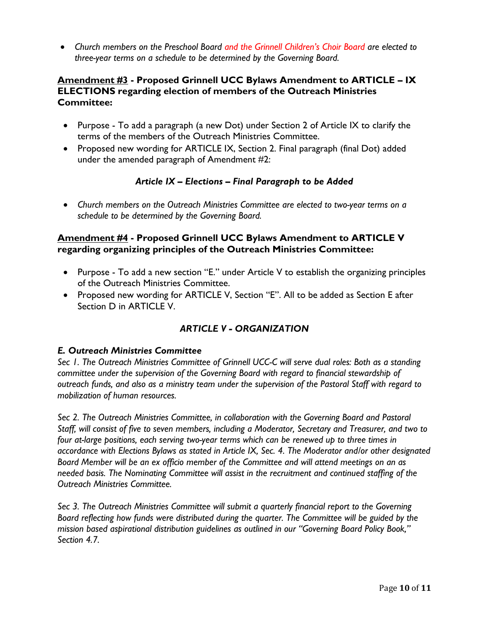• *Church members on the Preschool Board and the Grinnell Children's Choir Board are elected to three-year terms on a schedule to be determined by the Governing Board.*

### **Amendment #3 - Proposed Grinnell UCC Bylaws Amendment to ARTICLE – IX ELECTIONS regarding election of members of the Outreach Ministries Committee:**

- Purpose To add a paragraph (a new Dot) under Section 2 of Article IX to clarify the terms of the members of the Outreach Ministries Committee.
- Proposed new wording for ARTICLE IX, Section 2. Final paragraph (final Dot) added under the amended paragraph of Amendment #2:

### *Article IX – Elections – Final Paragraph to be Added*

• *Church members on the Outreach Ministries Committee are elected to two-year terms on a schedule to be determined by the Governing Board.*

### **Amendment #4 - Proposed Grinnell UCC Bylaws Amendment to ARTICLE V regarding organizing principles of the Outreach Ministries Committee:**

- Purpose To add a new section "E." under Article V to establish the organizing principles of the Outreach Ministries Committee.
- Proposed new wording for ARTICLE V, Section "E". All to be added as Section E after Section D in ARTICLE V.

# *ARTICLE V - ORGANIZATION*

### *E. Outreach Ministries Committee*

*Sec 1. The Outreach Ministries Committee of Grinnell UCC-C will serve dual roles: Both as a standing committee under the supervision of the Governing Board with regard to financial stewardship of outreach funds, and also as a ministry team under the supervision of the Pastoral Staff with regard to mobilization of human resources.*

*Sec 2. The Outreach Ministries Committee, in collaboration with the Governing Board and Pastoral Staff, will consist of five to seven members, including a Moderator, Secretary and Treasurer, and two to four at-large positions, each serving two-year terms which can be renewed up to three times in accordance with Elections Bylaws as stated in Article IX, Sec. 4. The Moderator and/or other designated Board Member will be an ex officio member of the Committee and will attend meetings on an as needed basis. The Nominating Committee will assist in the recruitment and continued staffing of the Outreach Ministries Committee.*

*Sec 3. The Outreach Ministries Committee will submit a quarterly financial report to the Governing Board reflecting how funds were distributed during the quarter. The Committee will be guided by the mission based aspirational distribution guidelines as outlined in our "Governing Board Policy Book," Section 4.7.*